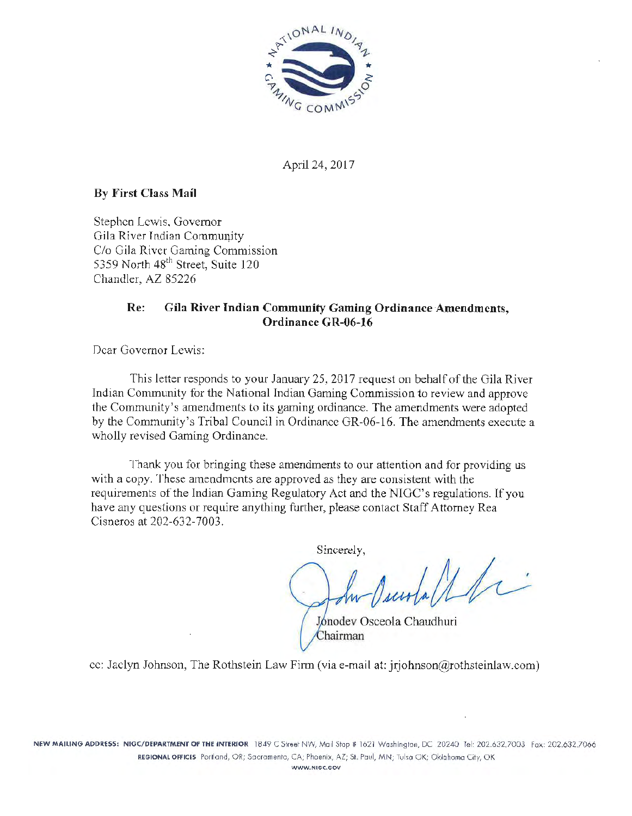

April 24, 2017

# **By First** Class **Mail**

Stephen Lewis. Governor Gila River Indian Commmiity *Clo* Gila River Gaming Commission 5359 North 48<sup>th</sup> Street, Suite 120 Chandler, AZ 85226

# **Re: Gila River Indian Community Gaming Ordinance Amendments, Ordinance GR-06-16**

Dear Governor Lewis:

This letter responds to your January 25, 2017 request on behalf of the Gila River Indian Community for the National Indian Gaming Commission to review and approve the Community's amendments to its gaming ordinance. The amendments were adopted by the Community's Tribal Council in Ordinance GR-06-16. The amendments execute a. wholly revised Gaming Ordinance.

Thank you for bringing these amendments to our attention and for providing us with a copy. These amendments are approved as they are consistent with the requirements of the Indian Gaming Regulatory Act and the NIGC's regulations. If you have any questions or require anything further, please contact Staff Attorney Rea Cisneros at 202-632-7003.

Sincerely,

 $d/d\tau$ 

Jonodey Osceola Chaudhuri Chairman

cc: Jaclyn Johnson, The Rothstein Law Firm (via e-mail at: jrjohnson@rothsteinlaw.com)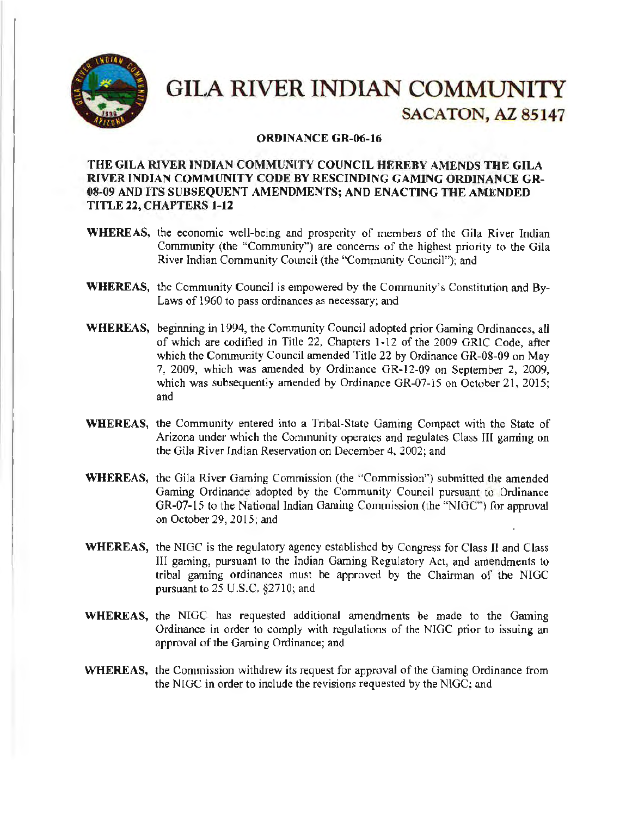

# **GILA RIVER INDIAN COMMUNITY** SACATON, AZ 85147

#### ORDINANCE GR-06-16

### THE GILA RIVER INDIAN COMMUNITY COUNCIL HEREBY AMENDS THE GILA RIVER INDIAN COMMUNITY CODE BY RESCINDING GAMING ORDINANCE GR-08-09 AND ITS SUBSEQUENT AMENDMENTS; AND ENACTING THE AMENDED TITLE 22, CHAPTERS 1-12

- WHEREAS, the economic well-being and prosperity of members of the Gila River Indian Community (the "Community") are concerns of the highest priority to the Gila River Indian Community Council (the "Community Council"); and
- WHEREAS, the Community Council is empowered by the Community's Constitution and By-Laws of 1960 to pass ordinances as necessary; and
- WHEREAS, beginning in 1994, the Community Council adopted prior Gaming Ordinances, all of which are codified in Title 22, Chapters 1-12 of the 2009 GRIC Code, after which the Community Council amended Title 22 by Ordinance GR-08-09 on May 7, 2009, which was amended by Ordinance GR-12-09 on September 2, 2009, which was subsequently amended by Ordinance GR-07-15 on October 21, 2015; and
- WHEREAS, the Community entered into a Tribal-State Gaming Compact with the State of Arizona under which the Community operates and regulates Class III gaming on the Gila River Indian Reservation on December 4, 2002; and
- WHEREAS, the Gila River Gaming Commission (the "Commission") submitted the amended Gaming Ordinance adopted by the Community Council pursuant to Ordinance GR-07-15 to the National Indian Gaming Commission (the "NIGC") for approval on October 29, 2015; and
- WHEREAS, the NIGC is the regulatory agency established by Congress for Class II and Class III gaming, pursuant to the Indian Gaming Regulatory Act, and amendments to tribal gaming ordinances must be approved by the Chairman of the NIGC pursuant to 25 U.S.C. §2710; and
- WHEREAS, the NIGC has requested additional amendments be made to the Gaming Ordinance in order to comply with regulations of the NIGC prior to issuing an approval of the Gaming Ordinance; and
- WHEREAS, the Commission withdrew its request for approval of the Gaming Ordinance from the NIGC in order to include the revisions requested by the NIGC; and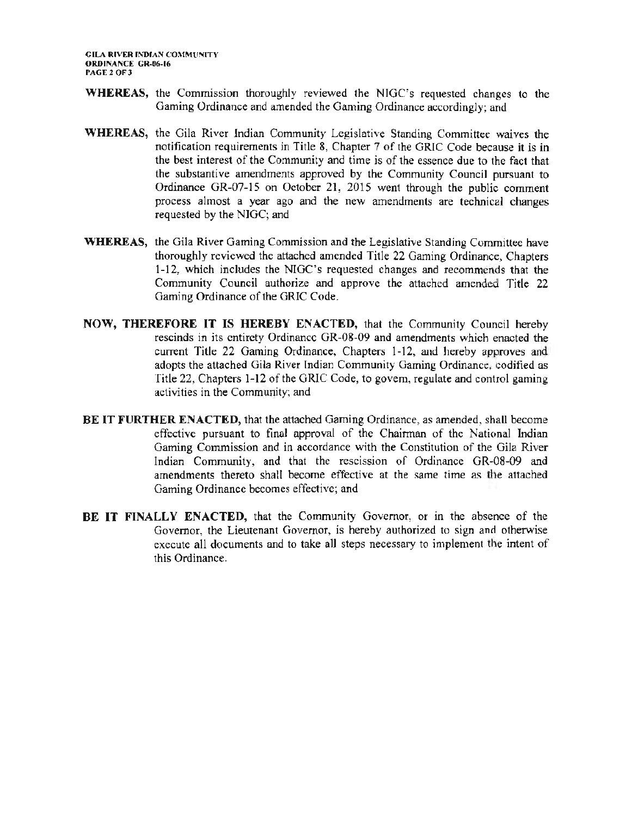- **WHEREAS,** the Commission thoroughly reviewed the NIGC's requested changes to the Gaming Ordinance and amended the Gaming Ordinance accordingly; and
- **WHEREAS,** the Gila River Indian Community Legislative Standing Committee waives the notification requirements in Title 8, Chapter 7 of the GRIC Code because it is in the best interest of the Community and time is of the essence due to the fact that the substantive amendments approved by the Community Council pursuant to Ordinance GR-07-15 on October 21, 2015 went through the public comment process almost a year ago and the new amendments are technical changes requested by the NIGC; and
- **WHEREAS,** the Gila River Gaming Commission and the Legislative Standing Committee have thoroughly reviewed the attached amended Title 22 Gaming Ordinance, Chapters 1-12, which includes the NIGC's requested changes and recommends that the Community Council authorize and approve the attached amended Title 22 Gaming Ordinance of the GRIC Code.
- **NOW, THEREFORE IT IS HEREBY ENACTED,** that the Community Council hereby rescinds in its entirety Ordinance GR-08-09 and amendments which enacted the current Title 22 Gaming Ordinance, Chapters 1-12, and hereby approves and adopts the attached Gila River Indian Community Gaming Ordinance, codified as Title 22, Chapters 1-12 of the GRIC Code, to govern, regulate and control gaming activities in the Community; and
- **BE IT FURTHER ENACTED,** that the attached Gaming Ordinance, as amended, shall become effective pursuant to final approval of the Chainnan of the National Indian Gaming Commission and in accordance with the Constitution of the Gila River Indian Community, and that the rescission of Ordinance GR-08-09 and amendments thereto shall become effective at the same time as the attached Gaming Ordinance becomes effective; and
- **BE IT FINALLY ENACTED,** that the Community Governor, or in the absence of the Governor, the Lieutenant Governor, is hereby authorized to sign and otherwise execute all documents and to take all steps necessary to implement the intent of this Ordinance.